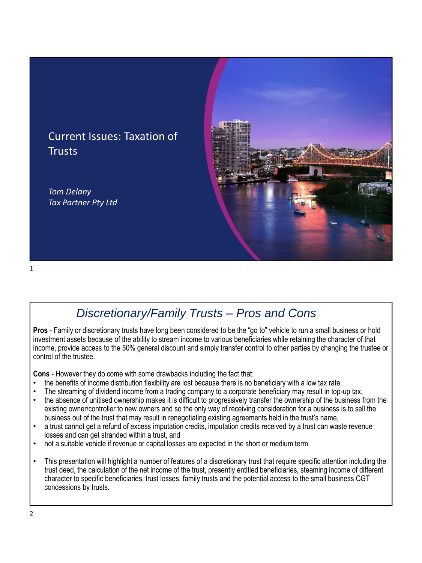

### Current Issues: Taxation of **Trusts**

*Tom Delany Tax Partner Pty Ltd*

#### 1

# *Discretionary/Family Trusts – Pros and Cons*

**Pros** - Family or discretionary trusts have long been considered to be the "go to" vehicle to run a small business or hold investment assets because of the ability to stream income to various beneficiaries while retaining the character of that income, provide access to the 50% general discount and simply transfer control to other parties by changing the trustee or control of the trustee.

**Cons** - However they do come with some drawbacks including the fact that:

- the benefits of income distribution flexibility are lost because there is no beneficiary with a low tax rate,
- The streaming of dividend income from a trading company to a corporate beneficiary may result in top-up tax,
- the absence of unitised ownership makes it is difficult to progressively transfer the ownership of the business from the existing owner/controller to new owners and so the only way of receiving consideration for a business is to sell the business out of the trust that may result in renegotiating existing agreements held in the trust's name,
- a trust cannot get a refund of excess imputation credits, imputation credits received by a trust can waste revenue losses and can get stranded within a trust, and
- not a suitable vehicle if revenue or capital losses are expected in the short or medium term.
- This presentation will highlight a number of features of a discretionary trust that require specific attention including the trust deed, the calculation of the net income of the trust, presently entitled beneficiaries, steaming income of different character to specific beneficiaries, trust losses, family trusts and the potential access to the small business CGT concessions by trusts.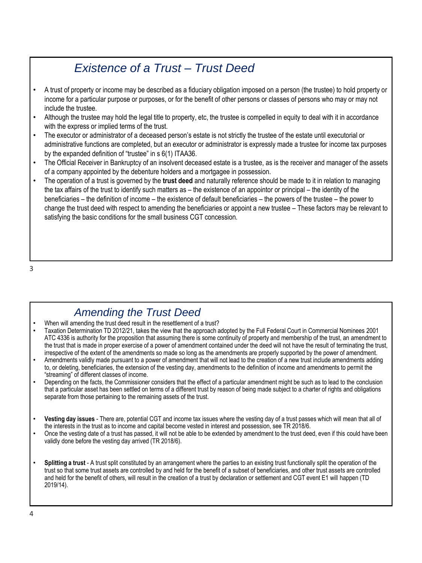# *Existence of a Trust – Trust Deed*

- A trust of property or income may be described as a fiduciary obligation imposed on a person (the trustee) to hold property or income for a particular purpose or purposes, or for the benefit of other persons or classes of persons who may or may not include the trustee.
- Although the trustee may hold the legal title to property, etc, the trustee is compelled in equity to deal with it in accordance with the express or implied terms of the trust.
- The executor or administrator of a deceased person's estate is not strictly the trustee of the estate until executorial or administrative functions are completed, but an executor or administrator is expressly made a trustee for income tax purposes by the expanded definition of "trustee" in s 6(1) ITAA36.
- The Official Receiver in Bankruptcy of an insolvent deceased estate is a trustee, as is the receiver and manager of the assets of a company appointed by the debenture holders and a mortgagee in possession.
- The operation of a trust is governed by the **trust deed** and naturally reference should be made to it in relation to managing the tax affairs of the trust to identify such matters as – the existence of an appointor or principal – the identity of the beneficiaries – the definition of income – the existence of default beneficiaries – the powers of the trustee – the power to change the trust deed with respect to amending the beneficiaries or appoint a new trustee – These factors may be relevant to satisfying the basic conditions for the small business CGT concession.

3

#### *Amending the Trust Deed*

- When will amending the trust deed result in the resettlement of a trust?
- Taxation Determination TD 2012/21, takes the view that the approach adopted by the Full Federal Court in Commercial Nominees 2001 ATC 4336 is authority for the proposition that assuming there is some continuity of property and membership of the trust, an amendment to the trust that is made in proper exercise of a power of amendment contained under the deed will not have the result of terminating the trust, irrespective of the extent of the amendments so made so long as the amendments are properly supported by the power of amendment.
- Amendments validly made pursuant to a power of amendment that will not lead to the creation of a new trust include amendments adding to, or deleting, beneficiaries, the extension of the vesting day, amendments to the definition of income and amendments to permit the "streaming" of different classes of income.
- Depending on the facts, the Commissioner considers that the effect of a particular amendment might be such as to lead to the conclusion that a particular asset has been settled on terms of a different trust by reason of being made subject to a charter of rights and obligations separate from those pertaining to the remaining assets of the trust.
- **Vesting day issues**  There are, potential CGT and income tax issues where the vesting day of a trust passes which will mean that all of the interests in the trust as to income and capital become vested in interest and possession, see TR 2018/6.
- Once the vesting date of a trust has passed, it will not be able to be extended by amendment to the trust deed, even if this could have been validly done before the vesting day arrived (TR 2018/6).
- **Splitting a trust**  A trust split constituted by an arrangement where the parties to an existing trust functionally split the operation of the trust so that some trust assets are controlled by and held for the benefit of a subset of beneficiaries, and other trust assets are controlled and held for the benefit of others, will result in the creation of a trust by declaration or settlement and CGT event E1 will happen (TD 2019/14).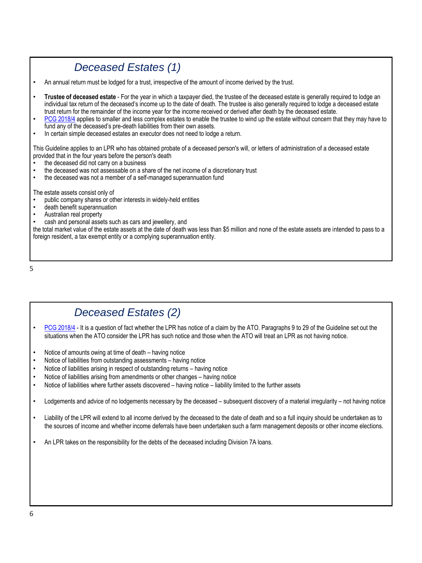# *Deceased Estates (1)*

• An annual return must be lodged for a trust, irrespective of the amount of income derived by the trust.

- **Trustee of deceased estate**  For the year in which a taxpayer died, the trustee of the deceased estate is generally required to lodge an individual tax return of the deceased's income up to the date of death. The trustee is also generally required to lodge a deceased estate trust return for the remainder of the income year for the income received or derived after death by the deceased estate.
- [PCG 2018/4](https://www.ato.gov.au/law/view/document?LocID=%22COG%2FPCG20184%2FNAT%2FATO%22&PiT=99991231235958) applies to smaller and less complex estates to enable the trustee to wind up the estate without concern that they may have to fund any of the deceased's pre-death liabilities from their own assets.
- In certain simple deceased estates an executor does not need to lodge a return.

This Guideline applies to an LPR who has obtained probate of a deceased person's will, or letters of administration of a deceased estate provided that in the four years before the person's death

- the deceased did not carry on a business
- the deceased was not assessable on a share of the net income of a discretionary trust
- the deceased was not a member of a self-managed superannuation fund

The estate assets consist only of

- public company shares or other interests in widely-held entities
- death benefit superannuation
- Australian real property
- cash and personal assets such as cars and jewellery, and

the total market value of the estate assets at the date of death was less than \$5 million and none of the estate assets are intended to pass to a foreign resident, a tax exempt entity or a complying superannuation entity.

5

#### *Deceased Estates (2)*

- [PCG 2018/4](https://www.ato.gov.au/law/view/document?LocID=%22COG%2FPCG20184%2FNAT%2FATO%22&PiT=99991231235958) It is a question of fact whether the LPR has notice of a claim by the ATO. Paragraphs 9 to 29 of the Guideline set out the situations when the ATO consider the LPR has such notice and those when the ATO will treat an LPR as not having notice.
- Notice of amounts owing at time of death having notice
- Notice of liabilities from outstanding assessments having notice
- Notice of liabilities arising in respect of outstanding returns having notice
- Notice of liabilities arising from amendments or other changes having notice
- Notice of liabilities where further assets discovered having notice liability limited to the further assets

• Lodgements and advice of no lodgements necessary by the deceased – subsequent discovery of a material irregularity – not having notice

- Liability of the LPR will extend to all income derived by the deceased to the date of death and so a full inquiry should be undertaken as to the sources of income and whether income deferrals have been undertaken such a farm management deposits or other income elections.
- An LPR takes on the responsibility for the debts of the deceased including Division 7A loans.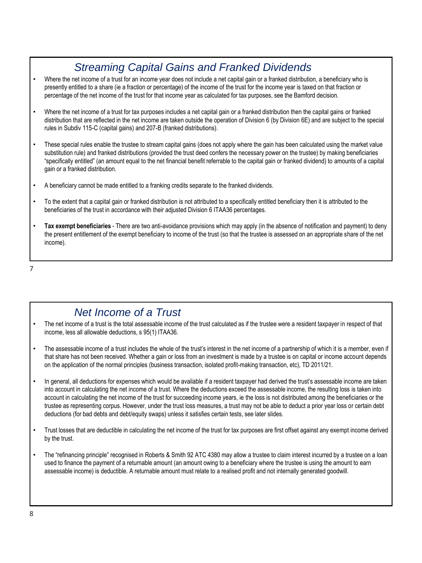# *Streaming Capital Gains and Franked Dividends*

- Where the net income of a trust for an income year does not include a net capital gain or a franked distribution, a beneficiary who is presently entitled to a share (ie a fraction or percentage) of the income of the trust for the income year is taxed on that fraction or percentage of the net income of the trust for that income year as calculated for tax purposes, see the Bamford decision.
- Where the net income of a trust for tax purposes includes a net capital gain or a franked distribution then the capital gains or franked distribution that are reflected in the net income are taken outside the operation of Division 6 (by Division 6E) and are subject to the special rules in Subdiv 115-C (capital gains) and 207-B (franked distributions).
- These special rules enable the trustee to stream capital gains (does not apply where the gain has been calculated using the market value substitution rule) and franked distributions (provided the trust deed confers the necessary power on the trustee) by making beneficiaries "specifically entitled" (an amount equal to the net financial benefit referrable to the capital gain or franked dividend) to amounts of a capital gain or a franked distribution.
- A beneficiary cannot be made entitled to a franking credits separate to the franked dividends.
- To the extent that a capital gain or franked distribution is not attributed to a specifically entitled beneficiary then it is attributed to the beneficiaries of the trust in accordance with their adjusted Division 6 ITAA36 percentages.
- **Tax exempt beneficiaries**  There are two anti-avoidance provisions which may apply (in the absence of notification and payment) to deny the present entitlement of the exempt beneficiary to income of the trust (so that the trustee is assessed on an appropriate share of the net income).

7

#### *Net Income of a Trust*

- The net income of a trust is the total assessable income of the trust calculated as if the trustee were a resident taxpayer in respect of that income, less all allowable deductions, s 95(1) ITAA36.
- The assessable income of a trust includes the whole of the trust's interest in the net income of a partnership of which it is a member, even if that share has not been received. Whether a gain or loss from an investment is made by a trustee is on capital or income account depends on the application of the normal principles (business transaction, isolated profit-making transaction, etc), TD 2011/21.
- In general, all deductions for expenses which would be available if a resident taxpayer had derived the trust's assessable income are taken into account in calculating the net income of a trust. Where the deductions exceed the assessable income, the resulting loss is taken into account in calculating the net income of the trust for succeeding income years, ie the loss is not distributed among the beneficiaries or the trustee as representing corpus. However, under the trust loss measures, a trust may not be able to deduct a prior year loss or certain debt deductions (for bad debts and debt/equity swaps) unless it satisfies certain tests, see later slides.
- Trust losses that are deductible in calculating the net income of the trust for tax purposes are first offset against any exempt income derived by the trust.
- The "refinancing principle" recognised in Roberts & Smith 92 ATC 4380 may allow a trustee to claim interest incurred by a trustee on a loan used to finance the payment of a returnable amount (an amount owing to a beneficiary where the trustee is using the amount to earn assessable income) is deductible. A returnable amount must relate to a realised profit and not internally generated goodwill.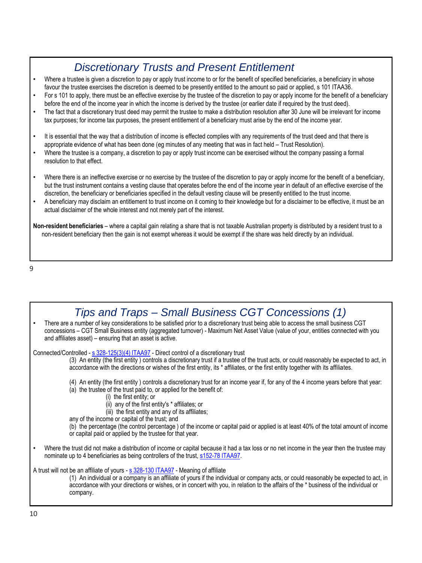# *Discretionary Trusts and Present Entitlement*

- Where a trustee is given a discretion to pay or apply trust income to or for the benefit of specified beneficiaries, a beneficiary in whose favour the trustee exercises the discretion is deemed to be presently entitled to the amount so paid or applied, s 101 ITAA36.
- For s 101 to apply, there must be an effective exercise by the trustee of the discretion to pay or apply income for the benefit of a beneficiary before the end of the income year in which the income is derived by the trustee (or earlier date if required by the trust deed).
- The fact that a discretionary trust deed may permit the trustee to make a distribution resolution after 30 June will be irrelevant for income tax purposes; for income tax purposes, the present entitlement of a beneficiary must arise by the end of the income year.
- It is essential that the way that a distribution of income is effected complies with any requirements of the trust deed and that there is appropriate evidence of what has been done (eg minutes of any meeting that was in fact held – Trust Resolution).
- Where the trustee is a company, a discretion to pay or apply trust income can be exercised without the company passing a formal resolution to that effect.
- Where there is an ineffective exercise or no exercise by the trustee of the discretion to pay or apply income for the benefit of a beneficiary, but the trust instrument contains a vesting clause that operates before the end of the income year in default of an effective exercise of the discretion, the beneficiary or beneficiaries specified in the default vesting clause will be presently entitled to the trust income.
- A beneficiary may disclaim an entitlement to trust income on it coming to their knowledge but for a disclaimer to be effective, it must be an actual disclaimer of the whole interest and not merely part of the interest.

**Non-resident beneficiaries** – where a capital gain relating a share that is not taxable Australian property is distributed by a resident trust to a non-resident beneficiary then the gain is not exempt whereas it would be exempt if the share was held directly by an individual.

9

| Tips and Traps – Small Business CGT Concessions (1)                                                                                                                                                                                                                                                                                                                                                                                                                                                                                                                                                    |
|--------------------------------------------------------------------------------------------------------------------------------------------------------------------------------------------------------------------------------------------------------------------------------------------------------------------------------------------------------------------------------------------------------------------------------------------------------------------------------------------------------------------------------------------------------------------------------------------------------|
| There are a number of key considerations to be satisfied prior to a discretionary trust being able to access the small business CGT<br>concessions - CGT Small Business entity (aggregated turnover) - Maximum Net Asset Value (value of your, entities connected with you<br>and affiliates asset) - ensuring that an asset is active.                                                                                                                                                                                                                                                                |
| Connected/Controlled - s 328-125(3)(4) ITAA97 Direct control of a discretionary trust<br>(3) An entity (the first entity) controls a discretionary trust if a trustee of the trust acts, or could reasonably be expected to act, in<br>accordance with the directions or wishes of the first entity, its * affiliates, or the first entity together with its affiliates.                                                                                                                                                                                                                               |
| (4) An entity (the first entity) controls a discretionary trust for an income year if, for any of the 4 income years before that year:<br>(a) the trustee of the trust paid to, or applied for the benefit of:<br>(i) the first entity; or<br>(ii) any of the first entity's * affiliates; or<br>(iii) the first entity and any of its affiliates;<br>any of the income or capital of the trust; and<br>(b) the percentage (the control percentage) of the income or capital paid or applied is at least 40% of the total amount of income<br>or capital paid or applied by the trustee for that year. |
| Where the trust did not make a distribution of income or capital because it had a tax loss or no net income in the year then the trustee may<br>nominate up to 4 beneficiaries as being controllers of the trust, \$152-78 ITAA97.                                                                                                                                                                                                                                                                                                                                                                     |
| A trust will not be an affiliate of yours - s 328-130 ITAA97 - Meaning of affiliate<br>(1) An individual or a company is an affiliate of yours if the individual or company acts, or could reasonably be expected to act, in<br>accordance with your directions or wishes, or in concert with you, in relation to the affairs of the * business of the individual or<br>company.                                                                                                                                                                                                                       |
| 10                                                                                                                                                                                                                                                                                                                                                                                                                                                                                                                                                                                                     |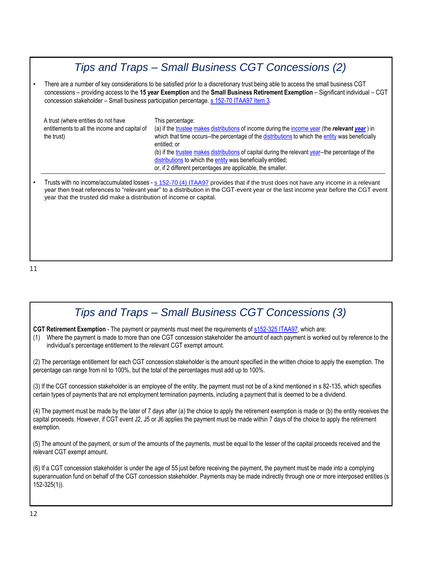# *Tips and Traps – Small Business CGT Concessions (2)*

• There are a number of key considerations to be satisfied prior to a discretionary trust being able to access the small business CGT concessions – providing access to the **15 year Exemption** and the **Small Business Retirement Exemption** – Significant individual – CGT concession stakeholder – Small business participation percentage. [s 152-70 ITAA97 Item 3.](http://classic.austlii.edu.au/cgi-bin/sinodisp/au/legis/cth/consol_act/itaa1997240/s152.70.html?stem=0&synonyms=0&query=152-70)

| A trust (where entities do not have<br>entitlements to all the income and capital of<br>the trust) | This percentage:<br>(a) if the trustee makes distributions of income during the income year (the relevant year) in<br>which that time occurs--the percentage of the distributions to which the entity was beneficially<br>entitled: or<br>(b) if the trustee makes distributions of capital during the relevant year-the percentage of the<br>distributions to which the entity was beneficially entitled;<br>or, if 2 different percentages are applicable, the smaller. |
|----------------------------------------------------------------------------------------------------|---------------------------------------------------------------------------------------------------------------------------------------------------------------------------------------------------------------------------------------------------------------------------------------------------------------------------------------------------------------------------------------------------------------------------------------------------------------------------|
|----------------------------------------------------------------------------------------------------|---------------------------------------------------------------------------------------------------------------------------------------------------------------------------------------------------------------------------------------------------------------------------------------------------------------------------------------------------------------------------------------------------------------------------------------------------------------------------|

• Trusts with no income/accumulated losses - [s 152-70 \(4\) ITAA97](http://classic.austlii.edu.au/cgi-bin/sinodisp/au/legis/cth/consol_act/itaa1997240/s152.70.html?stem=0&synonyms=0&query=152-70) provides that if the trust does not have any income in a relevant year then treat references to "relevant year" to a distribution in the CGT-event year or the last income year before the CGT event year that the trusted did make a distribution of income or capital.

#### *Tips and Traps – Small Business CGT Concessions (3)*

**CGT Retirement Exemption** - The payment or payments must meet the requirements of [s152-325 ITAA97,](http://www5.austlii.edu.au/au/legis/cth/consol_act/itaa1997240/s152.325.html) which are:

(1) Where the payment is made to more than one CGT concession stakeholder the amount of each payment is worked out by reference to the individual's percentage entitlement to the relevant CGT exempt amount.

(2) The percentage entitlement for each CGT concession stakeholder is the amount specified in the written choice to apply the exemption. The percentage can range from nil to 100%, but the total of the percentages must add up to 100%.

(3) If the CGT concession stakeholder is an employee of the entity, the payment must not be of a kind mentioned in s 82-135, which specifies certain types of payments that are not employment termination payments, including a payment that is deemed to be a dividend.

(4) The payment must be made by the later of 7 days after (a) the choice to apply the retirement exemption is made or (b) the entity receives the capital proceeds. However, if CGT event J2, J5 or J6 applies the payment must be made within 7 days of the choice to apply the retirement exemption.

(5) The amount of the payment, or sum of the amounts of the payments, must be equal to the lesser of the capital proceeds received and the relevant CGT exempt amount.

(6) If a CGT concession stakeholder is under the age of 55 just before receiving the payment, the payment must be made into a complying superannuation fund on behalf of the CGT concession stakeholder. Payments may be made indirectly through one or more interposed entities (s 152-325(1)).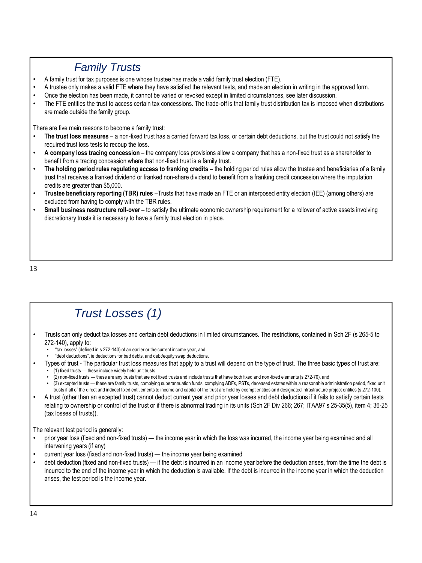# *Family Trusts*

- A family trust for tax purposes is one whose trustee has made a valid family trust election (FTE).
- A trustee only makes a valid FTE where they have satisfied the relevant tests, and made an election in writing in the approved form.
- Once the election has been made, it cannot be varied or revoked except in limited circumstances, see later discussion.
- The FTE entitles the trust to access certain tax concessions. The trade-off is that family trust distribution tax is imposed when distributions are made outside the family group.

There are five main reasons to become a family trust:

- **The trust loss measures**  a non-fixed trust has a carried forward tax loss, or certain debt deductions, but the trust could not satisfy the required trust loss tests to recoup the loss.
- **A company loss tracing concession**  the company loss provisions allow a company that has a non-fixed trust as a shareholder to benefit from a tracing concession where that non-fixed trust is a family trust.
- **The holding period rules regulating access to franking credits**  the holding period rules allow the trustee and beneficiaries of a family trust that receives a franked dividend or franked non-share dividend to benefit from a franking credit concession where the imputation credits are greater than \$5,000.
- **Trustee beneficiary reporting (TBR) rules** –Trusts that have made an FTE or an interposed entity election (IEE) (among others) are excluded from having to comply with the TBR rules.
- **Small business restructure roll-over** to satisfy the ultimate economic ownership requirement for a rollover of active assets involving discretionary trusts it is necessary to have a family trust election in place.

13

# *Trust Losses (1)*

- Trusts can only deduct tax losses and certain debt deductions in limited circumstances. The restrictions, contained in Sch 2F (s 265-5 to 272-140), apply to:
	- "tax losses" (defined in s 272-140) of an earlier or the current income year, and
	- "debt deductions", ie deductions for bad debts, and debt/equity swap deductions.
- Types of trust The particular trust loss measures that apply to a trust will depend on the type of trust. The three basic types of trust are:
	- (1) fixed trusts these include widely held unit trusts
		- (2) non-fixed trusts these are any trusts that are not fixed trusts and include trusts that have both fixed and non-fixed elements (s 272-70), and
		- (3) excepted trusts these are family trusts, complying superannuation funds, complying ADFs, PSTs, deceased estates within a reasonable administration period, fixed unit trusts if all of the direct and indirect fixed entitlements to income and capital of the trust are held by exempt entities and designated infrastructure project entities (s 272-100).
- A trust (other than an excepted trust) cannot deduct current year and prior year losses and debt deductions if it fails to satisfy certain tests relating to ownership or control of the trust or if there is abnormal trading in its units (Sch 2F Div 266; 267; ITAA97 s 25-35(5), item 4; 36-25 (tax losses of trusts)).

The relevant test period is generally:

- prior year loss (fixed and non-fixed trusts) the income year in which the loss was incurred, the income year being examined and all intervening years (if any)
- current year loss (fixed and non-fixed trusts) the income year being examined
- debt deduction (fixed and non-fixed trusts) if the debt is incurred in an income year before the deduction arises, from the time the debt is incurred to the end of the income year in which the deduction is available. If the debt is incurred in the income year in which the deduction arises, the test period is the income year.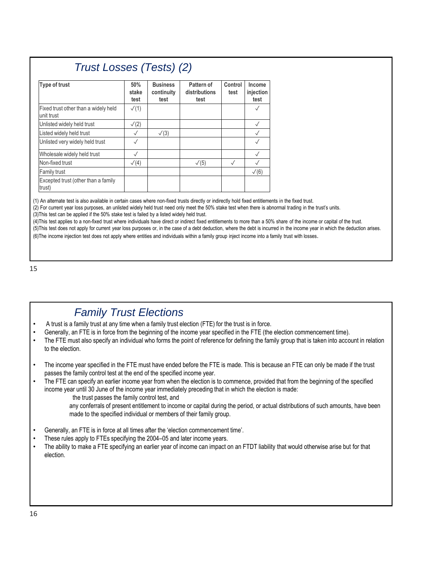# *Trust Losses (Tests) (2)*

| Type of trust                                      | 50%<br>stake<br>test | <b>Business</b><br>continuity<br>test | Pattern of<br>distributions<br>test | Control<br>test | Income<br>injection<br>test |
|----------------------------------------------------|----------------------|---------------------------------------|-------------------------------------|-----------------|-----------------------------|
| Fixed trust other than a widely held<br>unit trust | $\sqrt{(1)}$         |                                       |                                     |                 |                             |
| Unlisted widely held trust                         | $\sqrt{2}$           |                                       |                                     |                 | $\checkmark$                |
| Listed widely held trust                           | $\checkmark$         | $\sqrt{(3)}$                          |                                     |                 | $\checkmark$                |
| Unlisted very widely held trust                    | $\checkmark$         |                                       |                                     |                 |                             |
| Wholesale widely held trust                        | $\sqrt{}$            |                                       |                                     |                 |                             |
| Non-fixed trust                                    | $\sqrt{(4)}$         |                                       | $\sqrt{(5)}$                        | $\sqrt{}$       |                             |
| Family trust                                       |                      |                                       |                                     |                 | $\sqrt{(6)}$                |
| Excepted trust (other than a family<br>trust)      |                      |                                       |                                     |                 |                             |

(1) An alternate test is also available in certain cases where non-fixed trusts directly or indirectly hold fixed entitlements in the fixed trust.

(2) For current year loss purposes, an unlisted widely held trust need only meet the 50% stake test when there is abnormal trading in the trust's units.

(3)This test can be applied if the 50% stake test is failed by a listed widely held trust.

(4)This test applies to a non-fixed trust where individuals have direct or indirect fixed entitlements to more than a 50% share of the income or capital of the trust. (5)This test does not apply for current year loss purposes or, in the case of a debt deduction, where the debt is incurred in the income year in which the deduction arises.

(6)The income injection test does not apply where entities and individuals within a family group inject income into a family trust with losses.

#### 15

#### *Family Trust Elections*

- A trust is a family trust at any time when a family trust election (FTE) for the trust is in force.
- Generally, an FTE is in force from the beginning of the income year specified in the FTE (the election commencement time).
- The FTE must also specify an individual who forms the point of reference for defining the family group that is taken into account in relation to the election.
- The income year specified in the FTE must have ended before the FTE is made. This is because an FTE can only be made if the trust passes the family control test at the end of the specified income year.

• The FTE can specify an earlier income year from when the election is to commence, provided that from the beginning of the specified income year until 30 June of the income year immediately preceding that in which the election is made:

the trust passes the family control test, and

any conferrals of present entitlement to income or capital during the period, or actual distributions of such amounts, have been made to the specified individual or members of their family group.

- Generally, an FTE is in force at all times after the 'election commencement time'.
- These rules apply to FTEs specifying the 2004–05 and later income years.
- The ability to make a FTE specifying an earlier year of income can impact on an FTDT liability that would otherwise arise but for that election.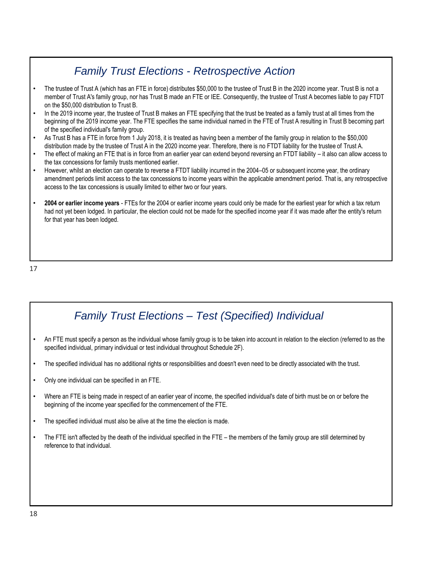# *Family Trust Elections - Retrospective Action*

- The trustee of Trust A (which has an FTE in force) distributes \$50,000 to the trustee of Trust B in the 2020 income year. Trust B is not a member of Trust A's family group, nor has Trust B made an FTE or IEE. Consequently, the trustee of Trust A becomes liable to pay FTDT on the \$50,000 distribution to Trust B.
- In the 2019 income year, the trustee of Trust B makes an FTE specifying that the trust be treated as a family trust at all times from the beginning of the 2019 income year. The FTE specifies the same individual named in the FTE of Trust A resulting in Trust B becoming part of the specified individual's family group.
- As Trust B has a FTE in force from 1 July 2018, it is treated as having been a member of the family group in relation to the \$50,000 distribution made by the trustee of Trust A in the 2020 income year. Therefore, there is no FTDT liability for the trustee of Trust A.
- The effect of making an FTE that is in force from an earlier year can extend beyond reversing an FTDT liability it also can allow access to the tax concessions for family trusts mentioned earlier.
- However, whilst an election can operate to reverse a FTDT liability incurred in the 2004–05 or subsequent income year, the ordinary amendment periods limit access to the tax concessions to income years within the applicable amendment period. That is, any retrospective access to the tax concessions is usually limited to either two or four years.
- **2004 or earlier income years**  FTEs for the 2004 or earlier income years could only be made for the earliest year for which a tax return had not yet been lodged. In particular, the election could not be made for the specified income year if it was made after the entity's return for that year has been lodged.

17

# *Family Trust Elections – Test (Specified) Individual*

- An FTE must specify a person as the individual whose family group is to be taken into account in relation to the election (referred to as the specified individual, primary individual or test individual throughout Schedule 2F).
- The specified individual has no additional rights or responsibilities and doesn't even need to be directly associated with the trust.
- Only one individual can be specified in an FTE.
- Where an FTE is being made in respect of an earlier year of income, the specified individual's date of birth must be on or before the beginning of the income year specified for the commencement of the FTE.
- The specified individual must also be alive at the time the election is made.
- The FTE isn't affected by the death of the individual specified in the FTE the members of the family group are still determined by reference to that individual.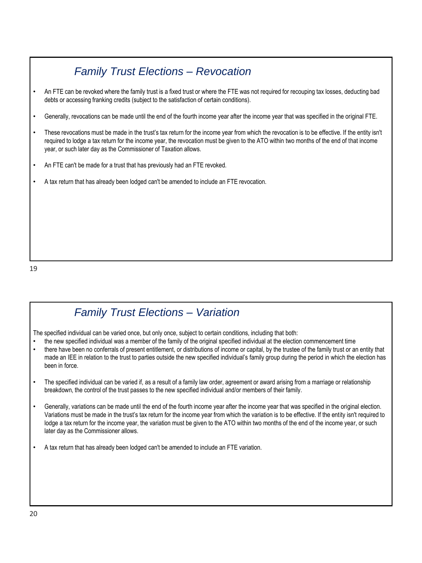# *Family Trust Elections – Revocation*

- An FTE can be revoked where the family trust is a fixed trust or where the FTE was not required for recouping tax losses, deducting bad debts or accessing franking credits (subject to the satisfaction of certain conditions).
- Generally, revocations can be made until the end of the fourth income year after the income year that was specified in the original FTE.
- These revocations must be made in the trust's tax return for the income year from which the revocation is to be effective. If the entity isn't required to lodge a tax return for the income year, the revocation must be given to the ATO within two months of the end of that income year, or such later day as the Commissioner of Taxation allows.
- An FTE can't be made for a trust that has previously had an FTE revoked.
- A tax return that has already been lodged can't be amended to include an FTE revocation.

#### *Family Trust Elections – Variation*

The specified individual can be varied once, but only once, subject to certain conditions, including that both:

- the new specified individual was a member of the family of the original specified individual at the election commencement time
- there have been no conferrals of present entitlement, or distributions of income or capital, by the trustee of the family trust or an entity that made an IEE in relation to the trust to parties outside the new specified individual's family group during the period in which the election has been in force.
- The specified individual can be varied if, as a result of a family law order, agreement or award arising from a marriage or relationship breakdown, the control of the trust passes to the new specified individual and/or members of their family.
- Generally, variations can be made until the end of the fourth income year after the income year that was specified in the original election. Variations must be made in the trust's tax return for the income year from which the variation is to be effective. If the entity isn't required to lodge a tax return for the income year, the variation must be given to the ATO within two months of the end of the income year, or such later day as the Commissioner allows.
- A tax return that has already been lodged can't be amended to include an FTE variation.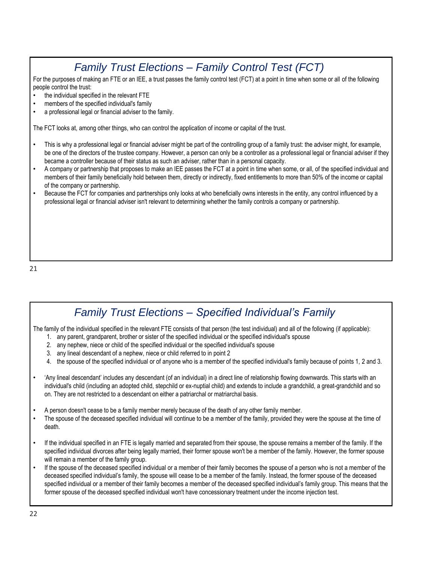# *Family Trust Elections – Family Control Test (FCT)*

For the purposes of making an FTE or an IEE, a trust passes the family control test (FCT) at a point in time when some or all of the following people control the trust:

- the individual specified in the relevant FTE
- members of the specified individual's family
- a professional legal or financial adviser to the family.

The FCT looks at, among other things, who can control the application of income or capital of the trust.

- This is why a professional legal or financial adviser might be part of the controlling group of a family trust: the adviser might, for example, be one of the directors of the trustee company. However, a person can only be a controller as a professional legal or financial adviser if they became a controller because of their status as such an adviser, rather than in a personal capacity.
- A company or partnership that proposes to make an IEE passes the FCT at a point in time when some, or all, of the specified individual and members of their family beneficially hold between them, directly or indirectly, fixed entitlements to more than 50% of the income or capital of the company or partnership.
- Because the FCT for companies and partnerships only looks at who beneficially owns interests in the entity, any control influenced by a professional legal or financial adviser isn't relevant to determining whether the family controls a company or partnership.

21

#### *Family Trust Elections – Specified Individual's Family*

The family of the individual specified in the relevant FTE consists of that person (the test individual) and all of the following (if applicable):

- 1. any parent, grandparent, brother or sister of the specified individual or the specified individual's spouse
- 2. any nephew, niece or child of the specified individual or the specified individual's spouse
- 3. any lineal descendant of a nephew, niece or child referred to in point 2
- 4. the spouse of the specified individual or of anyone who is a member of the specified individual's family because of points 1, 2 and 3.
- 'Any lineal descendant' includes any descendant (of an individual) in a direct line of relationship flowing downwards. This starts with an individual's child (including an adopted child, stepchild or ex-nuptial child) and extends to include a grandchild, a great-grandchild and so on. They are not restricted to a descendant on either a patriarchal or matriarchal basis.
- A person doesn't cease to be a family member merely because of the death of any other family member.
- The spouse of the deceased specified individual will continue to be a member of the family, provided they were the spouse at the time of death.
- If the individual specified in an FTE is legally married and separated from their spouse, the spouse remains a member of the family. If the specified individual divorces after being legally married, their former spouse won't be a member of the family. However, the former spouse will remain a member of the family group.
- If the spouse of the deceased specified individual or a member of their family becomes the spouse of a person who is not a member of the deceased specified individual's family, the spouse will cease to be a member of the family. Instead, the former spouse of the deceased specified individual or a member of their family becomes a member of the deceased specified individual's family group. This means that the former spouse of the deceased specified individual won't have concessionary treatment under the income injection test.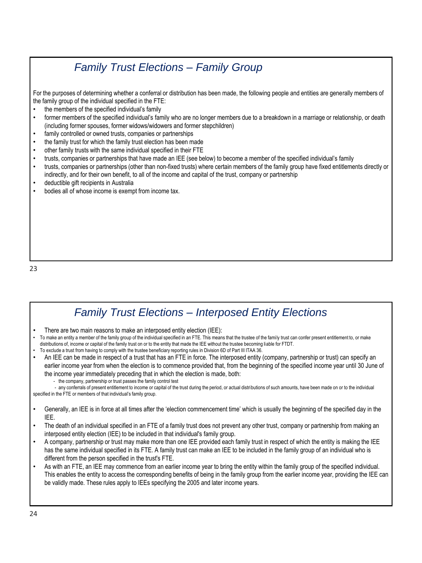### *Family Trust Elections – Family Group*

For the purposes of determining whether a conferral or distribution has been made, the following people and entities are generally members of the family group of the individual specified in the FTE:

- the members of the specified individual's family
- former members of the specified individual's family who are no longer members due to a breakdown in a marriage or relationship, or death (including former spouses, former widows/widowers and former stepchildren)
- family controlled or owned trusts, companies or partnerships
- the family trust for which the family trust election has been made
- other family trusts with the same individual specified in their FTE
- trusts, companies or partnerships that have made an IEE (see below) to become a member of the specified individual's family
- trusts, companies or partnerships (other than non-fixed trusts) where certain members of the family group have fixed entitlements directly or indirectly, and for their own benefit, to all of the income and capital of the trust, company or partnership
- deductible gift recipients in Australia
- bodies all of whose income is exempt from income tax.

23

#### *Family Trust Elections – Interposed Entity Elections*

- There are two main reasons to make an interposed entity election (IEE):
- To make an entity a member of the family group of the individual specified in an FTE. This means that the trustee of the family trust can confer present entitlement to, or make distributions of, income or capital of the family trust on or to the entity that made the IEE without the trustee becoming liable for FTDT.
- To exclude a trust from having to comply with the trustee beneficiary reporting rules in Division 6D of Part III ITAA 36.
- An IEE can be made in respect of a trust that has an FTE in force. The interposed entity (company, partnership or trust) can specify an earlier income year from when the election is to commence provided that, from the beginning of the specified income year until 30 June of the income year immediately preceding that in which the election is made, both:
	- the company, partnership or trust passes the family control test

- any conferrals of present entitlement to income or capital of the trust during the period, or actual distributions of such amounts, have been made on or to the individual specified in the FTE or members of that individual's family group.

- Generally, an IEE is in force at all times after the 'election commencement time' which is usually the beginning of the specified day in the IEE.
- The death of an individual specified in an FTE of a family trust does not prevent any other trust, company or partnership from making an interposed entity election (IEE) to be included in that individual's family group.
- A company, partnership or trust may make more than one IEE provided each family trust in respect of which the entity is making the IEE has the same individual specified in its FTE. A family trust can make an IEE to be included in the family group of an individual who is different from the person specified in the trust's FTE.
- As with an FTE, an IEE may commence from an earlier income year to bring the entity within the family group of the specified individual. This enables the entity to access the corresponding benefits of being in the family group from the earlier income year, providing the IEE can be validly made. These rules apply to IEEs specifying the 2005 and later income years.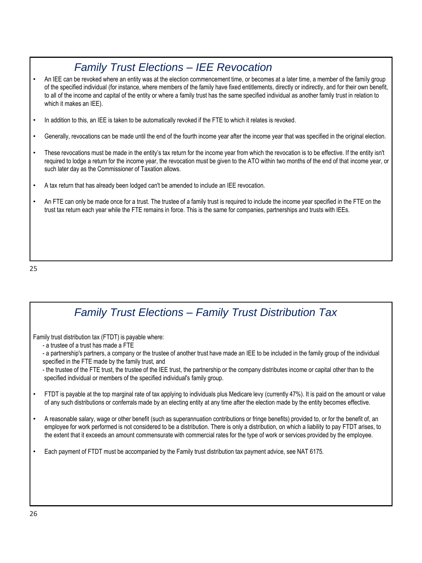# *Family Trust Elections – IEE Revocation*

- An IEE can be revoked where an entity was at the election commencement time, or becomes at a later time, a member of the family group of the specified individual (for instance, where members of the family have fixed entitlements, directly or indirectly, and for their own benefit, to all of the income and capital of the entity or where a family trust has the same specified individual as another family trust in relation to which it makes an IEE).
- In addition to this, an IEE is taken to be automatically revoked if the FTE to which it relates is revoked.
- Generally, revocations can be made until the end of the fourth income year after the income year that was specified in the original election.
- These revocations must be made in the entity's tax return for the income year from which the revocation is to be effective. If the entity isn't required to lodge a return for the income year, the revocation must be given to the ATO within two months of the end of that income year, or such later day as the Commissioner of Taxation allows.
- A tax return that has already been lodged can't be amended to include an IEE revocation.
- An FTE can only be made once for a trust. The trustee of a family trust is required to include the income year specified in the FTE on the trust tax return each year while the FTE remains in force. This is the same for companies, partnerships and trusts with IEEs.

25

| <b>Family Trust Elections - Family Trust Distribution Tax</b>                                                                                                                                                                                                                                                                                                                                                                                                                                                                       |
|-------------------------------------------------------------------------------------------------------------------------------------------------------------------------------------------------------------------------------------------------------------------------------------------------------------------------------------------------------------------------------------------------------------------------------------------------------------------------------------------------------------------------------------|
| Family trust distribution tax (FTDT) is payable where:<br>- a trustee of a trust has made a FTE<br>- a partnership's partners, a company or the trustee of another trust have made an IEE to be included in the family group of the individual<br>specified in the FTE made by the family trust, and<br>- the trustee of the FTE trust, the trustee of the IEE trust, the partnership or the company distributes income or capital other than to the<br>specified individual or members of the specified individual's family group. |
| FTDT is payable at the top marginal rate of tax applying to individuals plus Medicare levy (currently 47%). It is paid on the amount or value<br>of any such distributions or conferrals made by an electing entity at any time after the election made by the entity becomes effective.                                                                                                                                                                                                                                            |
| A reasonable salary, wage or other benefit (such as superannuation contributions or fringe benefits) provided to, or for the benefit of, an<br>employee for work performed is not considered to be a distribution. There is only a distribution, on which a liability to pay FTDT arises, to<br>the extent that it exceeds an amount commensurate with commercial rates for the type of work or services provided by the employee.                                                                                                  |
| Each payment of FTDT must be accompanied by the Family trust distribution tax payment advice, see NAT 6175.                                                                                                                                                                                                                                                                                                                                                                                                                         |
|                                                                                                                                                                                                                                                                                                                                                                                                                                                                                                                                     |
|                                                                                                                                                                                                                                                                                                                                                                                                                                                                                                                                     |